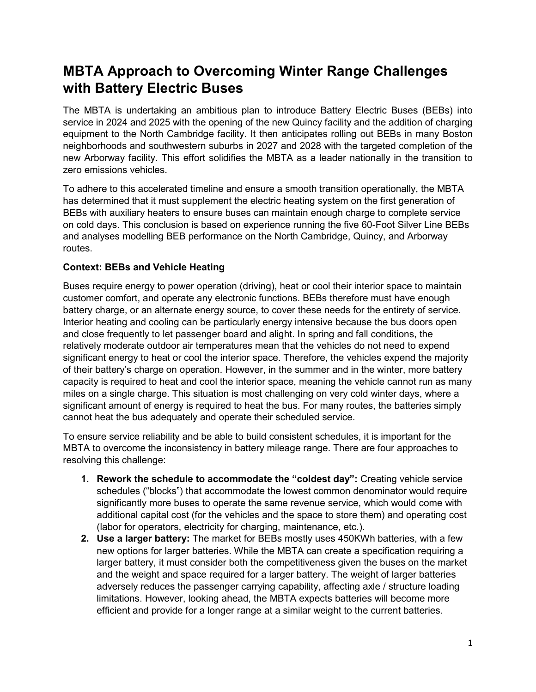## **MBTA Approach to Overcoming Winter Range Challenges with Battery Electric Buses**

The MBTA is undertaking an ambitious plan to introduce Battery Electric Buses (BEBs) into service in 2024 and 2025 with the opening of the new Quincy facility and the addition of charging equipment to the North Cambridge facility. It then anticipates rolling out BEBs in many Boston neighborhoods and southwestern suburbs in 2027 and 2028 with the targeted completion of the new Arborway facility. This effort solidifies the MBTA as a leader nationally in the transition to zero emissions vehicles.

To adhere to this accelerated timeline and ensure a smooth transition operationally, the MBTA has determined that it must supplement the electric heating system on the first generation of BEBs with auxiliary heaters to ensure buses can maintain enough charge to complete service on cold days. This conclusion is based on experience running the five 60-Foot Silver Line BEBs and analyses modelling BEB performance on the North Cambridge, Quincy, and Arborway routes.

## **Context: BEBs and Vehicle Heating**

Buses require energy to power operation (driving), heat or cool their interior space to maintain customer comfort, and operate any electronic functions. BEBs therefore must have enough battery charge, or an alternate energy source, to cover these needs for the entirety of service. Interior heating and cooling can be particularly energy intensive because the bus doors open and close frequently to let passenger board and alight. In spring and fall conditions, the relatively moderate outdoor air temperatures mean that the vehicles do not need to expend significant energy to heat or cool the interior space. Therefore, the vehicles expend the majority of their battery's charge on operation. However, in the summer and in the winter, more battery capacity is required to heat and cool the interior space, meaning the vehicle cannot run as many miles on a single charge. This situation is most challenging on very cold winter days, where a significant amount of energy is required to heat the bus. For many routes, the batteries simply cannot heat the bus adequately and operate their scheduled service.

To ensure service reliability and be able to build consistent schedules, it is important for the MBTA to overcome the inconsistency in battery mileage range. There are four approaches to resolving this challenge:

- **1. Rework the schedule to accommodate the "coldest day":** Creating vehicle service schedules ("blocks") that accommodate the lowest common denominator would require significantly more buses to operate the same revenue service, which would come with additional capital cost (for the vehicles and the space to store them) and operating cost (labor for operators, electricity for charging, maintenance, etc.).
- **2. Use a larger battery:** The market for BEBs mostly uses 450KWh batteries, with a few new options for larger batteries. While the MBTA can create a specification requiring a larger battery, it must consider both the competitiveness given the buses on the market and the weight and space required for a larger battery. The weight of larger batteries adversely reduces the passenger carrying capability, affecting axle / structure loading limitations. However, looking ahead, the MBTA expects batteries will become more efficient and provide for a longer range at a similar weight to the current batteries.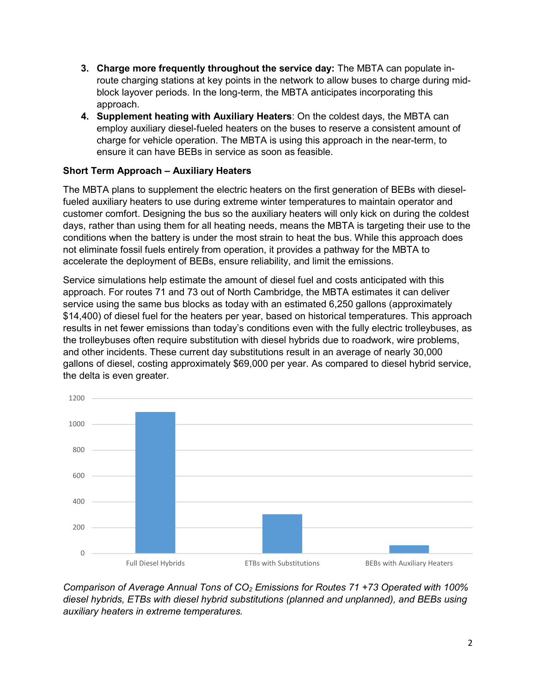- **3. Charge more frequently throughout the service day:** The MBTA can populate inroute charging stations at key points in the network to allow buses to charge during midblock layover periods. In the long-term, the MBTA anticipates incorporating this approach.
- **4. Supplement heating with Auxiliary Heaters**: On the coldest days, the MBTA can employ auxiliary diesel-fueled heaters on the buses to reserve a consistent amount of charge for vehicle operation. The MBTA is using this approach in the near-term, to ensure it can have BEBs in service as soon as feasible.

## **Short Term Approach – Auxiliary Heaters**

The MBTA plans to supplement the electric heaters on the first generation of BEBs with dieselfueled auxiliary heaters to use during extreme winter temperatures to maintain operator and customer comfort. Designing the bus so the auxiliary heaters will only kick on during the coldest days, rather than using them for all heating needs, means the MBTA is targeting their use to the conditions when the battery is under the most strain to heat the bus. While this approach does not eliminate fossil fuels entirely from operation, it provides a pathway for the MBTA to accelerate the deployment of BEBs, ensure reliability, and limit the emissions.

Service simulations help estimate the amount of diesel fuel and costs anticipated with this approach. For routes 71 and 73 out of North Cambridge, the MBTA estimates it can deliver service using the same bus blocks as today with an estimated 6,250 gallons (approximately \$14,400) of diesel fuel for the heaters per year, based on historical temperatures. This approach results in net fewer emissions than today's conditions even with the fully electric trolleybuses, as the trolleybuses often require substitution with diesel hybrids due to roadwork, wire problems, and other incidents. These current day substitutions result in an average of nearly 30,000 gallons of diesel, costing approximately \$69,000 per year. As compared to diesel hybrid service, the delta is even greater.



*Comparison of Average Annual Tons of CO2 Emissions for Routes 71 +73 Operated with 100% diesel hybrids, ETBs with diesel hybrid substitutions (planned and unplanned), and BEBs using auxiliary heaters in extreme temperatures.*